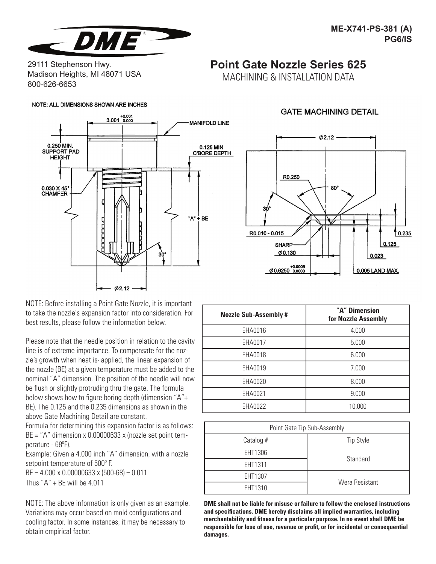

29111 Stephenson Hwy. Madison Heights, MI 48071 USA 800-626-6653

#### NOTE: ALL DIMENSIONS SHOWN ARE INCHES



NOTE: Before installing a Point Gate Nozzle, it is important to take the nozzle's expansion factor into consideration. For best results, please follow the information below.

Please note that the needle position in relation to the cavity line is of extreme importance. To compensate for the nozzle's growth when heat is· applied, the linear expansion of the nozzle (BE) at a given temperature must be added to the nominal "A" dimension. The position of the needle will now be flush or slightly protruding thru the gate. The formula below shows how to figure boring depth (dimension "A"+ BE). The 0.125 and the 0.235 dimensions as shown in the above Gate Machining Detail are constant.

Formula for determining this expansion factor is as follows: BE = "A" dimension x 0.00000633 x (nozzle set point temperature - 68°F).

Example: Given a 4.000 inch "A" dimension, with a nozzle setpoint temperature of 500°F.

 $BE = 4.000 \times 0.00000633 \times (500-68) = 0.011$ Thus "A" + BE will be 4.011

NOTE: The above information is only given as an example. Variations may occur based on mold configurations and cooling factor. In some instances, it may be necessary to obtain empirical factor.

# **GATE MACHINING DETAIL**

**Point Gate Nozzle Series 625** MACHINING & INSTALLATION DATA



| <b>Nozzle Sub-Assembly #</b> | "A" Dimension<br>for Nozzle Assembly |
|------------------------------|--------------------------------------|
| EHA0016                      | 4.000                                |
| EHA0017                      | 5.000                                |
| EHA0018                      | 6.000                                |
| EHA0019                      | 7.000                                |
| EHA0020                      | 8.000                                |
| EHA0021                      | 9.000                                |
| EHA0022                      | 10.000                               |

| Point Gate Tip Sub-Assembly |                  |
|-----------------------------|------------------|
| Catalog $#$                 | <b>Tip Style</b> |
| EHT1306                     | Standard         |
| EHT1311                     |                  |
| EHT1307                     | Wera Resistant   |
| EHT1310                     |                  |

**DME shall not be liable for misuse or failure to follow the enclosed instructions and specifications. DME hereby disclaims all implied warranties, including merchantability and fitness for a particular purpose. In no event shall DME be responsible for lose of use, revenue or profit, or for incidental or consequential damages.**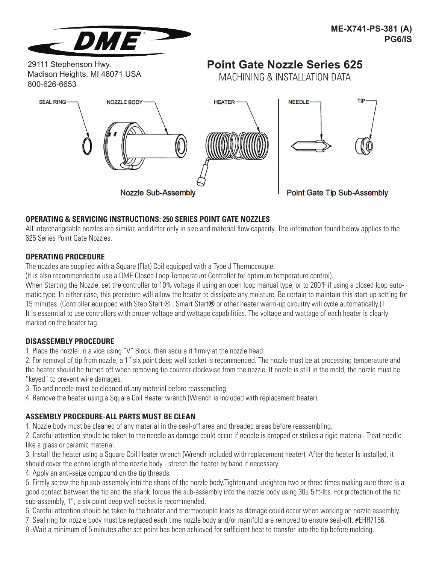

29111 Stephenson Hwy. Madison Heights, MI 48071 USA 800-626-6653

# **Point Gate Nozzle Series 625**

MACHINING & INSTALLATION DATA



# **OPERATING & SERVICING INSTRUCTIONS: 250 SERIES POINT GATE NOZZLES**

All interchangeable nozzles are similar, and differ only in size and material flow capacity. The information found below applies to the 625 Series Point Gate Nozzles.

### **OPERATING PROCEDURE**

The nozzles are supplied with a Square (Flat) Coil equipped with a Type J Thermocouple.

(It is also recommended to use a DME Closed Loop Temperature Controller for optimum temperature control).

When Starting the Nozzle, set the controller to 10% voltage if using an open loop manual type, or to 200°F if using a closed loop automatic type. In either case, this procedure will allow the heater to dissipate any moisture. Be certain to maintain this start-up setting for 15 minutes. (Controller equipped with Step Start ®, Smart Start® or other heater warm-up circuitry will cycle automatically.) I It is essemtial to use controllers with proper voltage and wattage capabilities. The voltage and wattage of each heater is clearly marked on the heater tag.

### **DISASSEMBLY PROCEDURE**

1. Place the nozzle .in a vice using "V" Block, then secure it firmly at the nozzle head.

2. For removal of tip from nozzle, a 1" six point deep well socket is recommended. The nozzle must be at processing temperature and the heater should be turned off when removing tip counter-clockwise from the nozzle. If nozzle is still in the mold, the nozzle must be "keyed" to prevent wire damages.

- 3. Tip and needle must be cleaned of any material before reassembling.
- 4. Remove the heater using a Square Coil Heater wrench (Wrench is included with replacement heater).

# **ASSEMBLY PROCEDURE-ALL PARTS MUST BE CLEAN**

1. Nozzle body must be cleaned of any material in the seal-off area and threaded areas before reassembling.

2. Careful attention should be taken to the needle as damage could occur if needle is dropped or strikes a rigid material. Treat needle like a glass or ceramic material.

3. Install the heater using a Square Coil Heater wrench (Wrench included with replacement heater). After the heater Is installed, it should cover the entire length of the nozzle body - stretch the heater by hand if necessary.

4. Apply an anti-seize compound on the tip threads.

5. Firmly screw the tip sub-assembly into the shank of the nozzle body.Tighten and untighten two or three times making sure there is a good contact between the tip and the shank.Torque the sub-assembly into the nozzle body using 30± 5 ft-lbs. For protection of the tip sub-assembly, 1", a six point deep well socket is recommended.

6. Careful attention shouid be taken to the heater and thermocouple leads as damage could occur when working on nozzle assembly.

7. Seal ring for nozzle body must be replaced each time nozzle body and/or manifold are removed to ensure seal-off. #EHR7156.

8. Wait a minimum of 5 minutes after set point has been achieved for sufficient heat to transfer into the tip before molding.